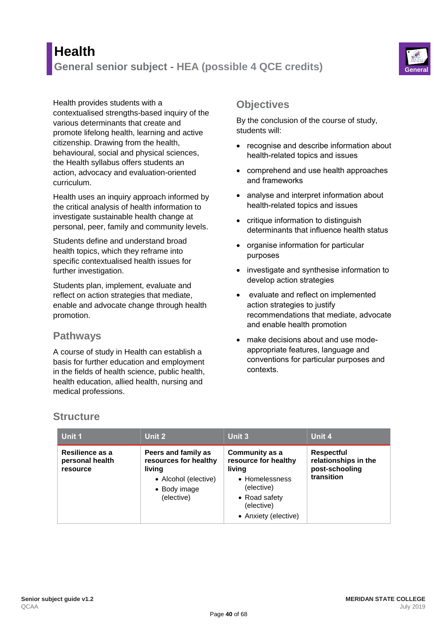# **Health General senior subject - HEA (possible 4 QCE credits) General**



Health provides students with a contextualised strengths-based inquiry of the various determinants that create and promote lifelong health, learning and active citizenship. Drawing from the health, behavioural, social and physical sciences, the Health syllabus offers students an action, advocacy and evaluation-oriented curriculum.

Health uses an inquiry approach informed by the critical analysis of health information to investigate sustainable health change at personal, peer, family and community levels.

Students define and understand broad health topics, which they reframe into specific contextualised health issues for further investigation.

Students plan, implement, evaluate and reflect on action strategies that mediate, enable and advocate change through health promotion.

#### **Pathways**

A course of study in Health can establish a basis for further education and employment in the fields of health science, public health, health education, allied health, nursing and medical professions.

### **Objectives**

By the conclusion of the course of study, students will:

- recognise and describe information about health-related topics and issues
- comprehend and use health approaches and frameworks
- analyse and interpret information about health-related topics and issues
- critique information to distinguish determinants that influence health status
- organise information for particular purposes
- investigate and synthesise information to develop action strategies
- evaluate and reflect on implemented action strategies to justify recommendations that mediate, advocate and enable health promotion
- make decisions about and use modeappropriate features, language and conventions for particular purposes and contexts.

## **Structure**

| Unit 1                                         | Unit 2                                                                                                       | Unit 3                                                                                                                                         | Unit 4                                                                    |
|------------------------------------------------|--------------------------------------------------------------------------------------------------------------|------------------------------------------------------------------------------------------------------------------------------------------------|---------------------------------------------------------------------------|
| Resilience as a<br>personal health<br>resource | Peers and family as<br>resources for healthy<br>living<br>• Alcohol (elective)<br>• Body image<br>(elective) | <b>Community as a</b><br>resource for healthy<br>living<br>• Homelessness<br>(elective)<br>• Road safety<br>(elective)<br>• Anxiety (elective) | <b>Respectful</b><br>relationships in the<br>post-schooling<br>transition |